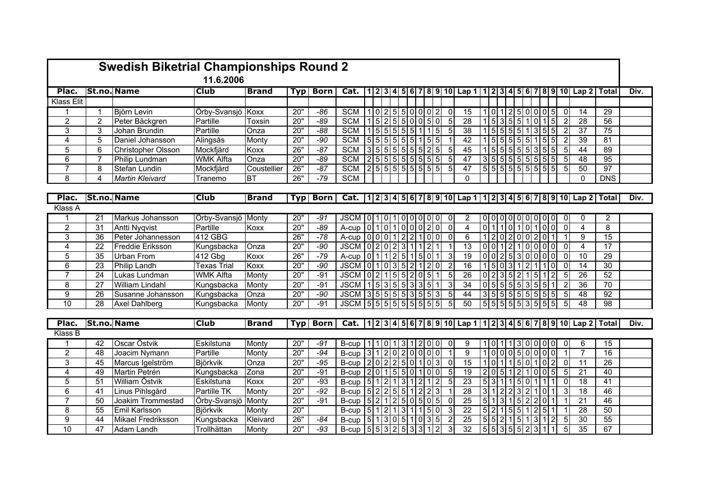|                      | <b>Swedish Biketrial Championships Round 2</b> |                         |                    |              |            |             |                                                                                                                |  |  |  |               |  |  |                             |                |                                                                                                         |  |  |  |                                                                |                |                         |                 |      |
|----------------------|------------------------------------------------|-------------------------|--------------------|--------------|------------|-------------|----------------------------------------------------------------------------------------------------------------|--|--|--|---------------|--|--|-----------------------------|----------------|---------------------------------------------------------------------------------------------------------|--|--|--|----------------------------------------------------------------|----------------|-------------------------|-----------------|------|
|                      |                                                |                         | 11.6.2006          |              |            |             |                                                                                                                |  |  |  |               |  |  |                             |                |                                                                                                         |  |  |  |                                                                |                |                         |                 |      |
| Plac.                |                                                | <b>St.no. Name</b>      | <b>Club</b>        | <b>Brand</b> | <b>Typ</b> | <b>Born</b> | Cat.                                                                                                           |  |  |  |               |  |  |                             |                | 1   2   3   4   5   6   7   8   9   10   Lap 1   1   2   3   4   5   6   7   8   9   10   Lap 2   Total |  |  |  |                                                                |                |                         |                 | Div. |
| Klass Elit           |                                                |                         |                    |              |            |             |                                                                                                                |  |  |  |               |  |  |                             |                |                                                                                                         |  |  |  |                                                                |                |                         |                 |      |
|                      | $\overline{1}$                                 | Björn Levin             | Örby-Svansjö Koxx  |              | 20"        | $-86$       | <b>SCM</b>                                                                                                     |  |  |  |               |  |  | 1 0 2 5 5 0 0 0 2           | -0             | 15                                                                                                      |  |  |  | 1 0 1 2 5 0 0 0 5                                              | $\overline{0}$ | 14                      | 29              |      |
| $\overline{2}$       | $\overline{2}$                                 | Peter Bäckgren          | Partille           | Toxsin       | 20"        | $-89$       | <b>SCM</b>                                                                                                     |  |  |  |               |  |  | 152550050                   | -5             | 28                                                                                                      |  |  |  | $1\,5\,3\,5\,5\,1\,0\,1\,5$                                    | 2              | 28                      | 56              |      |
| 3                    | 3                                              | Johan Brundin           | Partille           | Onza         | 20"        | $-88$       | <b>SCM</b>                                                                                                     |  |  |  |               |  |  | 155555511115                | -5             | 38                                                                                                      |  |  |  | 1 5 5 5 5 1 3 5 5                                              | $\overline{2}$ | $\overline{37}$         | 75              |      |
| 4                    | $\overline{5}$                                 | Daniel Johansson        | Alingsås           | Monty        | 20"        | $-90$       | <b>SCM</b>                                                                                                     |  |  |  |               |  |  | 5 5 5 5 5 5 1 5 5           |                | 42                                                                                                      |  |  |  | 155555                                                         | $\overline{2}$ | $\overline{39}$         | 81              |      |
| $\overline{5}$       | 6                                              | Christopher Olsson      | Mockfjärd          | Koxx         | 26"        | $-87$       | <b>SCM</b>                                                                                                     |  |  |  | 3 5 5 5 5 5 5 |  |  | 2 5                         | -5             | 45                                                                                                      |  |  |  | 1 5 5 5 5 5 3 55                                               | 5              | 44                      | 89              |      |
| $\overline{6}$       | $\overline{7}$                                 | Philip Lundman          | <b>WMK Alfta</b>   | Onza         | 20"        | $-89$       | <b>SCM</b>                                                                                                     |  |  |  |               |  |  | 2 5 5 5 5 5 5 5 5           | -5             | 47                                                                                                      |  |  |  | 3 5 5 5 5 5 5 5                                                | $5 \vert$      | 48                      | 95              |      |
| $\overline{7}$       | 8                                              | <b>Stefan Lundin</b>    | Mockfjärd          | Coustellier  | 26"        | $-87$       | SCM                                                                                                            |  |  |  |               |  |  | 2 5 5 5 5 5 5 5 5           | -5             | 47                                                                                                      |  |  |  | 5 5 555555556                                                  | $5 \mid$       | 50                      | 97              |      |
| 8                    | 4                                              | <b>Martin Kleivard</b>  | Tranemo            | <b>BT</b>    | 26"        | $-79$       | <b>SCM</b>                                                                                                     |  |  |  |               |  |  |                             |                | $\Omega$                                                                                                |  |  |  |                                                                |                | $\Omega$                | <b>DNS</b>      |      |
|                      |                                                |                         |                    |              |            |             |                                                                                                                |  |  |  |               |  |  |                             |                |                                                                                                         |  |  |  |                                                                |                |                         |                 |      |
| Plac.                |                                                | <b>St.no. Name</b>      | <b>Club</b>        | <b>Brand</b> | <b>Typ</b> | Born        |                                                                                                                |  |  |  |               |  |  |                             |                | Cat.  1 2 3 4 5 6 7 8 9 10  Lap 1 1 2 3 4 5 6 7 8 9 10  Lap 2  Total                                    |  |  |  |                                                                |                |                         |                 | Div. |
| Klass A              |                                                |                         |                    |              |            |             |                                                                                                                |  |  |  |               |  |  |                             |                |                                                                                                         |  |  |  |                                                                |                |                         |                 |      |
|                      | 21                                             | Markus Johansson        | Örby-Svansjö Monty |              | 20"        | $-91$       | JSCM 01010100000                                                                                               |  |  |  |               |  |  |                             | 0              | 2                                                                                                       |  |  |  | 0 0 0 0 0 0 0 0 0                                              | $\overline{0}$ | 0                       | $\overline{2}$  |      |
| $\overline{2}$       | $\overline{31}$                                | <b>Antti Nygvist</b>    | Partille           | Koxx         | 20"        | $-89$       | $A-cup$ $ 0 1 0 1 0 0 0 2 0 $                                                                                  |  |  |  |               |  |  |                             | $\Omega$       | $\overline{4}$                                                                                          |  |  |  | 0 1 1 0 1 0 1 0 0                                              | $\Omega$       | $\overline{\mathbf{4}}$ | 8               |      |
| 3                    | 36                                             | Peter Johannesson       | 412 GBG            |              | 26"        | $-78$       | A-cup $\begin{bmatrix} 0 & 0 & 0 & 1 & 2 & 2 & 1 & 0 & 0 \end{bmatrix}$                                        |  |  |  |               |  |  |                             | $\Omega$       | 6                                                                                                       |  |  |  | 12020020                                                       |                | 9                       | 15              |      |
| $\overline{4}$       | $\overline{22}$                                | <b>Freddie Eriksson</b> | Kungsbacka         | Onza         | 20"        | $-90$       | JSCM 0 2 0 2 3 1 1 2 1                                                                                         |  |  |  |               |  |  |                             |                | 13                                                                                                      |  |  |  | 0 0 1 2 1 0 0 0 0                                              | $\mathbf 0$    | $\overline{4}$          | 17              |      |
| 5                    | 35                                             | <b>Urban From</b>       | 412 Gbg            | Koxx         | 26"        | $-79$       | A-cup $\begin{bmatrix} 0 & 1 & 1 & 2 & 5 & 1 & 5 & 0 & 1 \end{bmatrix}$                                        |  |  |  |               |  |  |                             | 3              | $\overline{19}$                                                                                         |  |  |  | 0 0 2 5 3 0 0 0 0                                              | $\overline{0}$ | 10                      | 29              |      |
| 6                    | 23                                             | Philip Landh            | Texas Trial        | Koxx         | 20"        | $-90$       | JSCM 0 1 0 3 5 2 1 2 0                                                                                         |  |  |  |               |  |  |                             | 2              | 16                                                                                                      |  |  |  | $1 \, 5 \, 0 \, 3 \, 1 \, 2 \, 1 \, 1 \, 0$                    | $\Omega$       | 14                      | 30              |      |
| $\overline{7}$       | 24                                             | Lukas Lundman           | <b>WMK Alfta</b>   | Monty        | 20"        | $-91$       | $JSCM$ $ 0 2 1 5 5 2 0 $                                                                                       |  |  |  |               |  |  | 5 1                         | 5              | $\overline{26}$                                                                                         |  |  |  | $0$   2   3   5   2   1   5   1   2                            | 5              | 26                      | 52              |      |
| $\overline{8}$       | $\overline{27}$                                | <b>William Lindahl</b>  | Kungsbacka         | Monty        | 20"        | $-91$       | <b>JSCM</b>                                                                                                    |  |  |  |               |  |  | $1\,5\,3\,5\,5\,3\,3\,5\,1$ | -3             | 34                                                                                                      |  |  |  | 0 5 5 5 5 3 5 5 1                                              |                | $\overline{36}$         | 70              |      |
| $\overline{9}$       | $\overline{26}$                                | Susanne Johansson       | Kungsbacka         | Onza         | 20"        | $-90$       | $JSCM$ 3555553555                                                                                              |  |  |  |               |  |  |                             | -5             | 44                                                                                                      |  |  |  | 3 5 5 5555555                                                  | 5              | 48                      | 92              |      |
| 10                   | $\overline{28}$                                | <b>Axel Dahlberg</b>    | Kungsbacka         | Monty        | 20"        | $-91$       | JSCM 55555555                                                                                                  |  |  |  |               |  |  | 5<br>5                      | 5              | 50                                                                                                      |  |  |  | 5555551515                                                     | 5              | $\overline{48}$         | 98              |      |
|                      |                                                |                         |                    |              |            |             |                                                                                                                |  |  |  |               |  |  |                             |                |                                                                                                         |  |  |  |                                                                |                |                         |                 |      |
| Plac.                |                                                | <b>St.no. Name</b>      | <b>Club</b>        | <b>Brand</b> | <b>Typ</b> | <b>Born</b> |                                                                                                                |  |  |  |               |  |  |                             |                | Cat.  1 2 3 4 5 6 7 8 9 10  Lap 1 1 2 3 4 5 6 7 8 9 10  Lap 2  Total                                    |  |  |  |                                                                |                |                         |                 | Div. |
| Klass $\overline{B}$ |                                                |                         |                    |              |            |             |                                                                                                                |  |  |  |               |  |  |                             |                |                                                                                                         |  |  |  |                                                                |                |                         |                 |      |
|                      | 42                                             | Oscar Östvik            | Eskilstuna         | Monty        | 20"        | $-91$       | $B-cup$   1   1   0   1   3   1   2   0   0                                                                    |  |  |  |               |  |  |                             | 0              | 9                                                                                                       |  |  |  | 1 0 1 13 0 0 0 0                                               | $\overline{0}$ | 6                       | 15              |      |
| $\overline{2}$       | 48                                             | Joacim Nymann           | Partille           | Monty        | 20"        | $-94$       | $B-cup$ 312020000                                                                                              |  |  |  |               |  |  |                             |                | 9                                                                                                       |  |  |  | 100050000                                                      |                | $\overline{7}$          | 16              |      |
| 3                    | 45                                             | Marcus Igelström        | Björkvik           | Onza         | 20"        | $-95$       | B-cup $\left[ 2 \right]$ 0 $\left[ 2 \right]$ 2 $\left[ 5 \right]$ 0 $\left[ 1 \right]$ 1 0 $\left[ 3 \right]$ |  |  |  |               |  |  |                             | $\overline{0}$ | 15                                                                                                      |  |  |  | 1 0 1 1 5 0 1 0 2                                              | $\Omega$       | $\overline{11}$         | 26              |      |
| 4                    | 49                                             | Martin Petrén           | Kungsbacka         | Zona         | 20"        | $-91$       | $B-cup$ 2015 5010 100                                                                                          |  |  |  |               |  |  |                             | -5             | $\overline{19}$                                                                                         |  |  |  | 2 0 5 1 2 1 0 0 5                                              | -51            | 21                      | 40              |      |
| $\overline{5}$       | $\overline{51}$                                | <b>William Östvik</b>   | Eskilstuna         | Koxx         | 20"        | $-93$       | B-cup $\left[ 5 \right]$ 1 $\left[ 2 \right]$ 1 $\left[ 3 \right]$ 1 $\left[ 2 \right]$                        |  |  |  |               |  |  | 1 2                         | 5              | 23                                                                                                      |  |  |  | 5 3 1 15 0 1 11                                                | $\Omega$       | $\overline{18}$         | $\overline{41}$ |      |
| 6                    | 41                                             | Linus Pihlsgård         | Partille TK        | Monty        | 20"        | $-92$       | B-cup $\left[ 5 \right]$ 2 $\left[ 2 \right]$ 5 $\left[ 5 \right]$ 1 $\left[ 2 \right]$ 2 $\left[ 3 \right]$   |  |  |  |               |  |  |                             |                | 28                                                                                                      |  |  |  | 3 1 2 2 3 2 1 0 1                                              | 3              | 18                      | 46              |      |
| $\overline{7}$       | 50                                             | Joakim Trommestad       | Örby-Svansjö       | Monty        | 20"        | $-91$       | B-cup $\begin{bmatrix} 5 & 2 & 1 & 2 & 5 & 0 & 5 \end{bmatrix}$                                                |  |  |  |               |  |  | $0\vert 5 \vert$            | - 0            | 25                                                                                                      |  |  |  | 5 1 3 1 5 2 2 0 1                                              |                | $\overline{21}$         | 46              |      |
| 8                    | 55                                             | <b>Emil Karlsson</b>    | Björkvik           | Monty        | 20"        |             | B-cup $\left[ 5 \right]$ 1   2   1   3   1   1   5   0                                                         |  |  |  |               |  |  |                             | -3             | $\overline{22}$                                                                                         |  |  |  | 5 2 1 5 5 1 2 5 1                                              |                | 28                      | 50              |      |
| $\overline{9}$       | 44                                             | Mikael Fredriksson      | Kungsbacka         | Kleivard     | 26"        | $-84$       | $B-cup$ 5 1 3 0 5 1 0 3 5                                                                                      |  |  |  |               |  |  |                             | $\overline{2}$ | 25                                                                                                      |  |  |  | $\sqrt{5}$ 5 2 1 5 1 $\sqrt{3}$ 1 2                            | 5              | $\overline{30}$         | 55              |      |
| 10                   | 47                                             | Adam Landh              | Trollhättan        | Monty        | 20"        | $-93$       |                                                                                                                |  |  |  |               |  |  |                             | 3              | 32                                                                                                      |  |  |  | $\sqrt{5}$ 5 $\sqrt{3}$ 5 $\sqrt{5}$ 5 $\sqrt{2}$ 3 $\sqrt{1}$ | 5 <sub>l</sub> | 35                      | 67              |      |